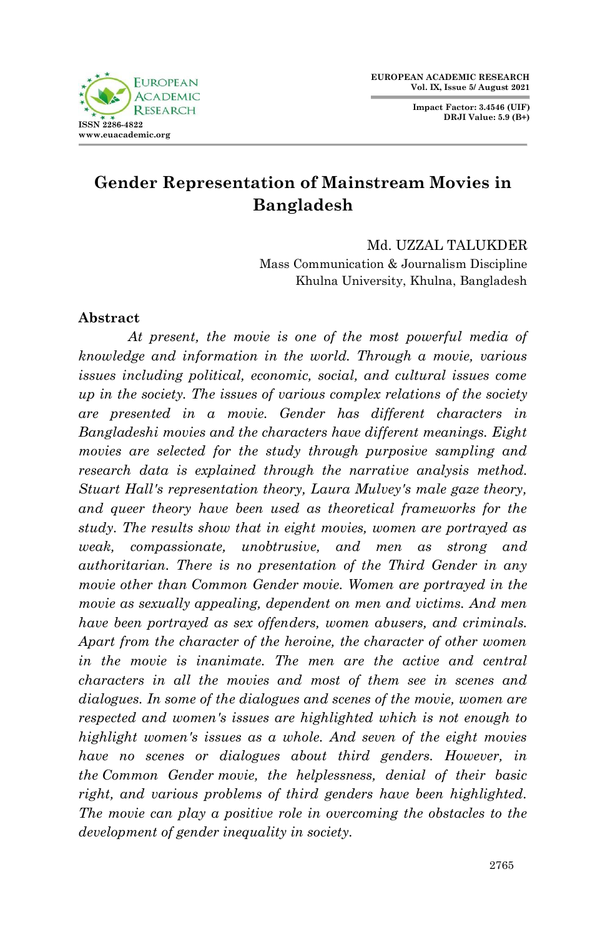**Impact Factor: 3.4546 (UIF) DRJI Value: 5.9 (B+)**



# **Gender Representation of Mainstream Movies in Bangladesh**

Md. UZZAL TALUKDER

Mass Communication & Journalism Discipline Khulna University, Khulna, Bangladesh

## **Abstract**

*At present, the movie is one of the most powerful media of knowledge and information in the world. Through a movie, various issues including political, economic, social, and cultural issues come up in the society. The issues of various complex relations of the society are presented in a movie. Gender has different characters in Bangladeshi movies and the characters have different meanings. Eight movies are selected for the study through purposive sampling and research data is explained through the narrative analysis method. Stuart Hall's representation theory, Laura Mulvey's male gaze theory, and queer theory have been used as theoretical frameworks for the study. The results show that in eight movies, women are portrayed as weak, compassionate, unobtrusive, and men as strong and authoritarian. There is no presentation of the Third Gender in any movie other than Common Gender movie. Women are portrayed in the movie as sexually appealing, dependent on men and victims. And men have been portrayed as sex offenders, women abusers, and criminals. Apart from the character of the heroine, the character of other women in the movie is inanimate. The men are the active and central characters in all the movies and most of them see in scenes and dialogues. In some of the dialogues and scenes of the movie, women are respected and women's issues are highlighted which is not enough to highlight women's issues as a whole. And seven of the eight movies have no scenes or dialogues about third genders. However, in the Common Gender movie, the helplessness, denial of their basic right, and various problems of third genders have been highlighted. The movie can play a positive role in overcoming the obstacles to the development of gender inequality in society.*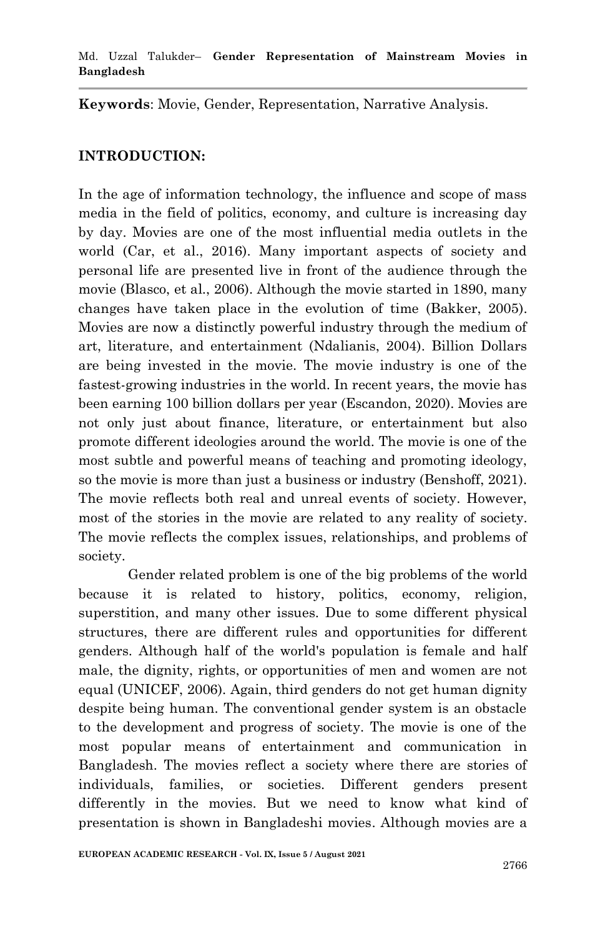**Keywords**: Movie, Gender, Representation, Narrative Analysis.

#### **INTRODUCTION:**

In the age of information technology, the influence and scope of mass media in the field of politics, economy, and culture is increasing day by day. Movies are one of the most influential media outlets in the world (Car, et al., 2016). Many important aspects of society and personal life are presented live in front of the audience through the movie (Blasco, et al., 2006). Although the movie started in 1890, many changes have taken place in the evolution of time (Bakker, 2005). Movies are now a distinctly powerful industry through the medium of art, literature, and entertainment (Ndalianis, 2004). Billion Dollars are being invested in the movie. The movie industry is one of the fastest-growing industries in the world. In recent years, the movie has been earning 100 billion dollars per year (Escandon, 2020). Movies are not only just about finance, literature, or entertainment but also promote different ideologies around the world. The movie is one of the most subtle and powerful means of teaching and promoting ideology, so the movie is more than just a business or industry (Benshoff, 2021). The movie reflects both real and unreal events of society. However, most of the stories in the movie are related to any reality of society. The movie reflects the complex issues, relationships, and problems of society.

Gender related problem is one of the big problems of the world because it is related to history, politics, economy, religion, superstition, and many other issues. Due to some different physical structures, there are different rules and opportunities for different genders. Although half of the world's population is female and half male, the dignity, rights, or opportunities of men and women are not equal (UNICEF, 2006). Again, third genders do not get human dignity despite being human. The conventional gender system is an obstacle to the development and progress of society. The movie is one of the most popular means of entertainment and communication in Bangladesh. The movies reflect a society where there are stories of individuals, families, or societies. Different genders present differently in the movies. But we need to know what kind of presentation is shown in Bangladeshi movies. Although movies are a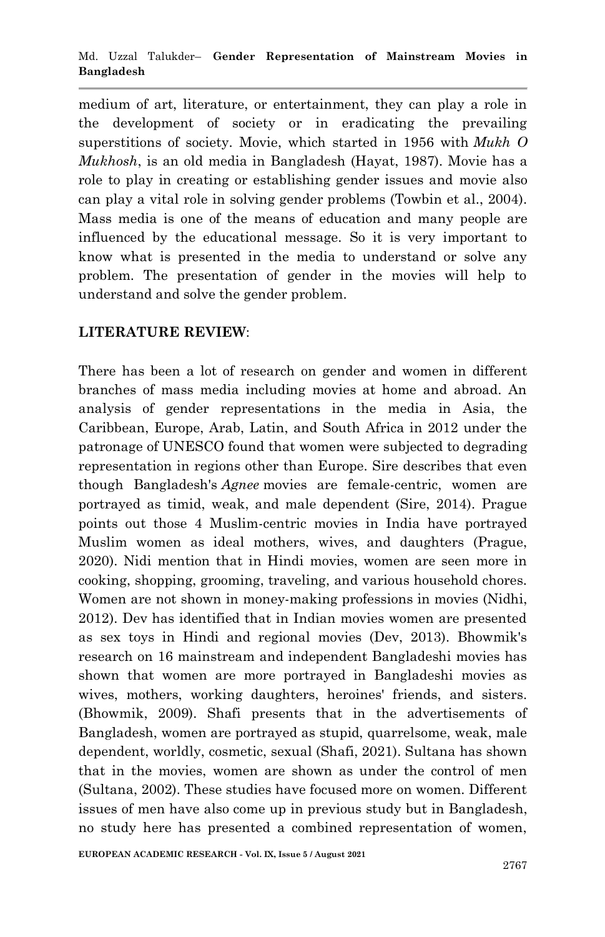medium of art, literature, or entertainment, they can play a role in the development of society or in eradicating the prevailing superstitions of society. Movie, which started in 1956 with *Mukh O Mukhosh*, is an old media in Bangladesh (Hayat, 1987). Movie has a role to play in creating or establishing gender issues and movie also can play a vital role in solving gender problems (Towbin et al., 2004). Mass media is one of the means of education and many people are influenced by the educational message. So it is very important to know what is presented in the media to understand or solve any problem. The presentation of gender in the movies will help to understand and solve the gender problem.

# **LITERATURE REVIEW**:

There has been a lot of research on gender and women in different branches of mass media including movies at home and abroad. An analysis of gender representations in the media in Asia, the Caribbean, Europe, Arab, Latin, and South Africa in 2012 under the patronage of UNESCO found that women were subjected to degrading representation in regions other than Europe. Sire describes that even though Bangladesh's *Agnee* movies are female-centric, women are portrayed as timid, weak, and male dependent (Sire, 2014). Prague points out those 4 Muslim-centric movies in India have portrayed Muslim women as ideal mothers, wives, and daughters (Prague, 2020). Nidi mention that in Hindi movies, women are seen more in cooking, shopping, grooming, traveling, and various household chores. Women are not shown in money-making professions in movies (Nidhi, 2012). Dev has identified that in Indian movies women are presented as sex toys in Hindi and regional movies (Dev, 2013). Bhowmik's research on 16 mainstream and independent Bangladeshi movies has shown that women are more portrayed in Bangladeshi movies as wives, mothers, working daughters, heroines' friends, and sisters. (Bhowmik, 2009). Shafi presents that in the advertisements of Bangladesh, women are portrayed as stupid, quarrelsome, weak, male dependent, worldly, cosmetic, sexual (Shafi, 2021). Sultana has shown that in the movies, women are shown as under the control of men (Sultana, 2002). These studies have focused more on women. Different issues of men have also come up in previous study but in Bangladesh, no study here has presented a combined representation of women,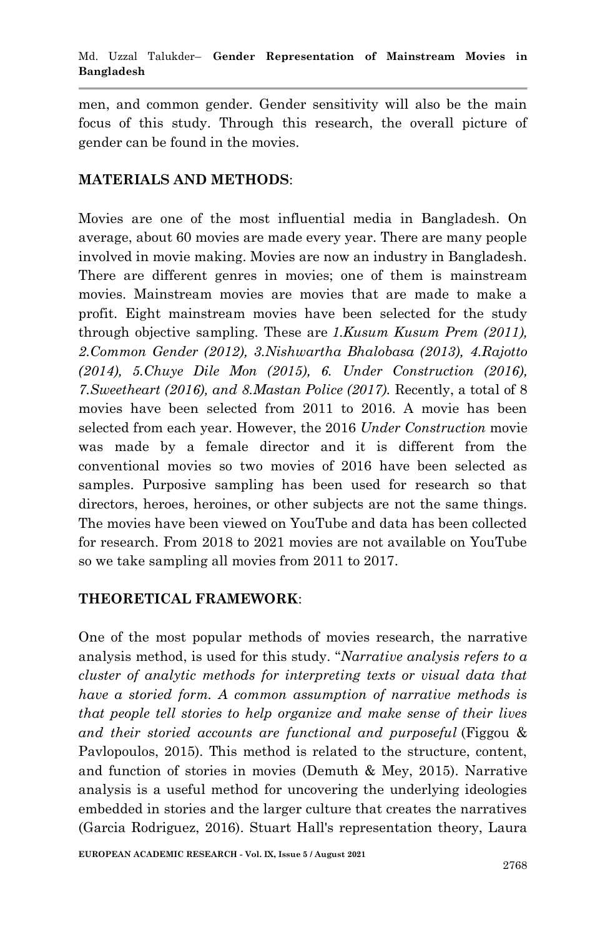men, and common gender. Gender sensitivity will also be the main focus of this study. Through this research, the overall picture of gender can be found in the movies.

## **MATERIALS AND METHODS**:

Movies are one of the most influential media in Bangladesh. On average, about 60 movies are made every year. There are many people involved in movie making. Movies are now an industry in Bangladesh. There are different genres in movies; one of them is mainstream movies. Mainstream movies are movies that are made to make a profit. Eight mainstream movies have been selected for the study through objective sampling. These are *1.Kusum Kusum Prem (2011), 2.Common Gender (2012), 3.Nishwartha Bhalobasa (2013), 4.Rajotto (2014), 5.Chuye Dile Mon (2015), 6. Under Construction (2016), 7.Sweetheart (2016), and 8.Mastan Police (2017).* Recently, a total of 8 movies have been selected from 2011 to 2016. A movie has been selected from each year. However, the 2016 *Under Construction* movie was made by a female director and it is different from the conventional movies so two movies of 2016 have been selected as samples. Purposive sampling has been used for research so that directors, heroes, heroines, or other subjects are not the same things. The movies have been viewed on YouTube and data has been collected for research. From 2018 to 2021 movies are not available on YouTube so we take sampling all movies from 2011 to 2017.

# **THEORETICAL FRAMEWORK**:

One of the most popular methods of movies research, the narrative analysis method, is used for this study. "*Narrative analysis refers to a cluster of analytic methods for interpreting texts or visual data that have a storied form. A common assumption of narrative methods is that people tell stories to help organize and make sense of their lives and their storied accounts are functional and purposeful* (Figgou & Pavlopoulos, 2015). This method is related to the structure, content, and function of stories in movies (Demuth & Mey, 2015). Narrative analysis is a useful method for uncovering the underlying ideologies embedded in stories and the larger culture that creates the narratives (Garcia Rodriguez, 2016). Stuart Hall's representation theory, Laura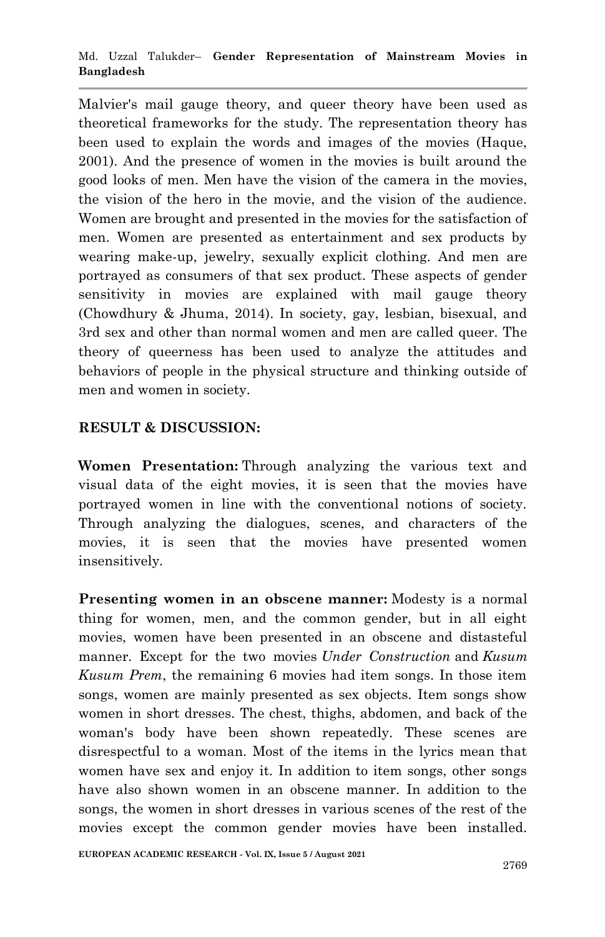Malvier's mail gauge theory, and queer theory have been used as theoretical frameworks for the study. The representation theory has been used to explain the words and images of the movies (Haque, 2001). And the presence of women in the movies is built around the good looks of men. Men have the vision of the camera in the movies, the vision of the hero in the movie, and the vision of the audience. Women are brought and presented in the movies for the satisfaction of men. Women are presented as entertainment and sex products by wearing make-up, jewelry, sexually explicit clothing. And men are portrayed as consumers of that sex product. These aspects of gender sensitivity in movies are explained with mail gauge theory (Chowdhury & Jhuma, 2014). In society, gay, lesbian, bisexual, and 3rd sex and other than normal women and men are called queer. The theory of queerness has been used to analyze the attitudes and behaviors of people in the physical structure and thinking outside of men and women in society.

## **RESULT & DISCUSSION:**

**Women Presentation:** Through analyzing the various text and visual data of the eight movies, it is seen that the movies have portrayed women in line with the conventional notions of society. Through analyzing the dialogues, scenes, and characters of the movies, it is seen that the movies have presented women insensitively.

**Presenting women in an obscene manner:** Modesty is a normal thing for women, men, and the common gender, but in all eight movies, women have been presented in an obscene and distasteful manner. Except for the two movies *Under Construction* and *Kusum Kusum Prem*, the remaining 6 movies had item songs. In those item songs, women are mainly presented as sex objects. Item songs show women in short dresses. The chest, thighs, abdomen, and back of the woman's body have been shown repeatedly. These scenes are disrespectful to a woman. Most of the items in the lyrics mean that women have sex and enjoy it. In addition to item songs, other songs have also shown women in an obscene manner. In addition to the songs, the women in short dresses in various scenes of the rest of the movies except the common gender movies have been installed.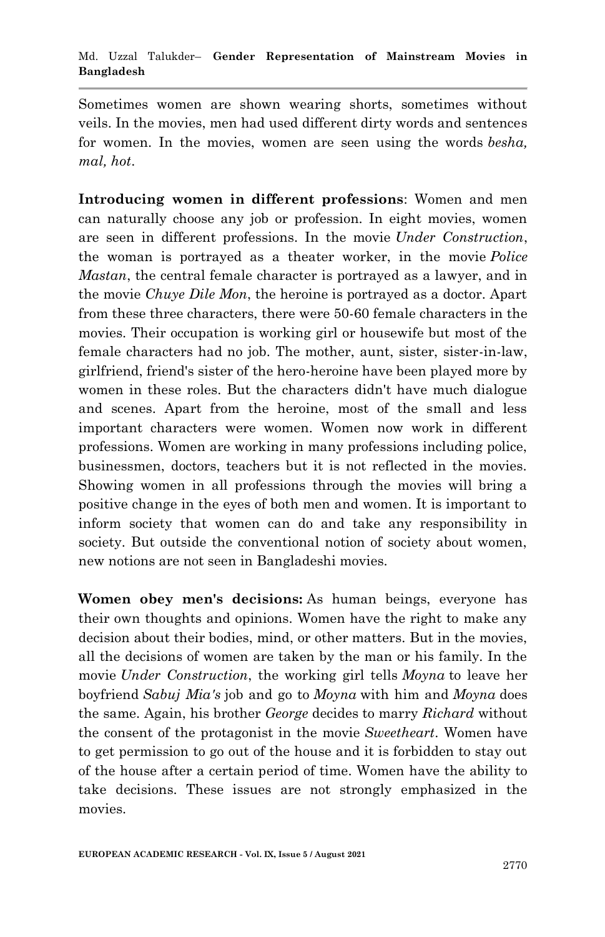Sometimes women are shown wearing shorts, sometimes without veils. In the movies, men had used different dirty words and sentences for women. In the movies, women are seen using the words *besha, mal, hot*.

**Introducing women in different professions**: Women and men can naturally choose any job or profession. In eight movies, women are seen in different professions. In the movie *Under Construction*, the woman is portrayed as a theater worker, in the movie *Police Mastan*, the central female character is portrayed as a lawyer, and in the movie *Chuye Dile Mon*, the heroine is portrayed as a doctor. Apart from these three characters, there were 50-60 female characters in the movies. Their occupation is working girl or housewife but most of the female characters had no job. The mother, aunt, sister, sister-in-law, girlfriend, friend's sister of the hero-heroine have been played more by women in these roles. But the characters didn't have much dialogue and scenes. Apart from the heroine, most of the small and less important characters were women. Women now work in different professions. Women are working in many professions including police, businessmen, doctors, teachers but it is not reflected in the movies. Showing women in all professions through the movies will bring a positive change in the eyes of both men and women. It is important to inform society that women can do and take any responsibility in society. But outside the conventional notion of society about women, new notions are not seen in Bangladeshi movies.

**Women obey men's decisions:** As human beings, everyone has their own thoughts and opinions. Women have the right to make any decision about their bodies, mind, or other matters. But in the movies, all the decisions of women are taken by the man or his family. In the movie *Under Construction*, the working girl tells *Moyna* to leave her boyfriend *Sabuj Mia's* job and go to *Moyna* with him and *Moyna* does the same. Again, his brother *George* decides to marry *Richard* without the consent of the protagonist in the movie *Sweetheart*. Women have to get permission to go out of the house and it is forbidden to stay out of the house after a certain period of time. Women have the ability to take decisions. These issues are not strongly emphasized in the movies.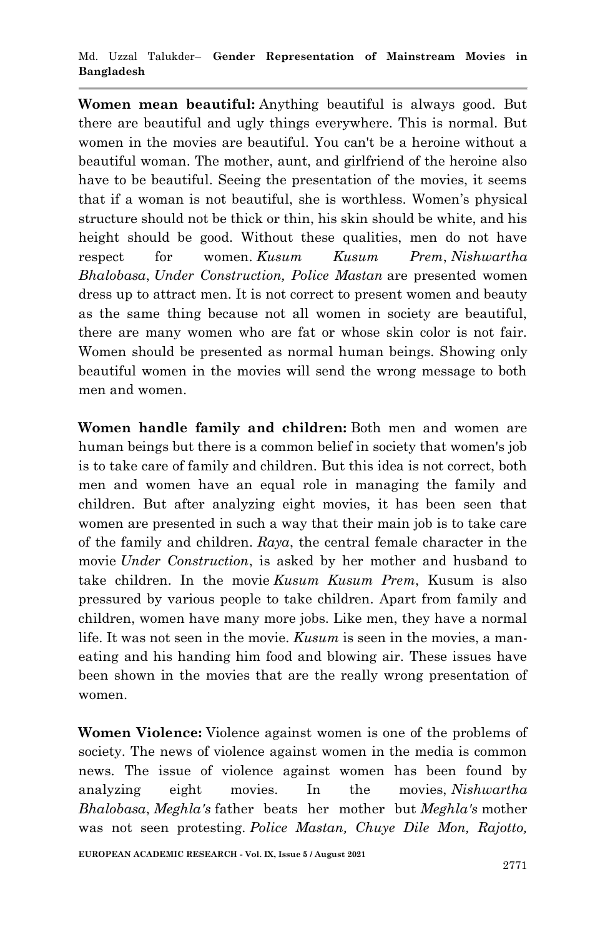#### Md. Uzzal Talukder– **Gender Representation of Mainstream Movies in Bangladesh**

**Women mean beautiful:** Anything beautiful is always good. But there are beautiful and ugly things everywhere. This is normal. But women in the movies are beautiful. You can't be a heroine without a beautiful woman. The mother, aunt, and girlfriend of the heroine also have to be beautiful. Seeing the presentation of the movies, it seems that if a woman is not beautiful, she is worthless. Women's physical structure should not be thick or thin, his skin should be white, and his height should be good. Without these qualities, men do not have respect for women. *Kusum Kusum Prem*, *Nishwartha Bhalobasa*, *Under Construction, Police Mastan* are presented women dress up to attract men. It is not correct to present women and beauty as the same thing because not all women in society are beautiful, there are many women who are fat or whose skin color is not fair. Women should be presented as normal human beings. Showing only beautiful women in the movies will send the wrong message to both men and women.

**Women handle family and children:** Both men and women are human beings but there is a common belief in society that women's job is to take care of family and children. But this idea is not correct, both men and women have an equal role in managing the family and children. But after analyzing eight movies, it has been seen that women are presented in such a way that their main job is to take care of the family and children. *Raya*, the central female character in the movie *Under Construction*, is asked by her mother and husband to take children. In the movie *Kusum Kusum Prem*, Kusum is also pressured by various people to take children. Apart from family and children, women have many more jobs. Like men, they have a normal life. It was not seen in the movie. *Kusum* is seen in the movies, a maneating and his handing him food and blowing air. These issues have been shown in the movies that are the really wrong presentation of women.

**Women Violence:** Violence against women is one of the problems of society. The news of violence against women in the media is common news. The issue of violence against women has been found by analyzing eight movies. In the movies, *Nishwartha Bhalobasa*, *Meghla's* father beats her mother but *Meghla's* mother was not seen protesting. *Police Mastan, Chuye Dile Mon, Rajotto,*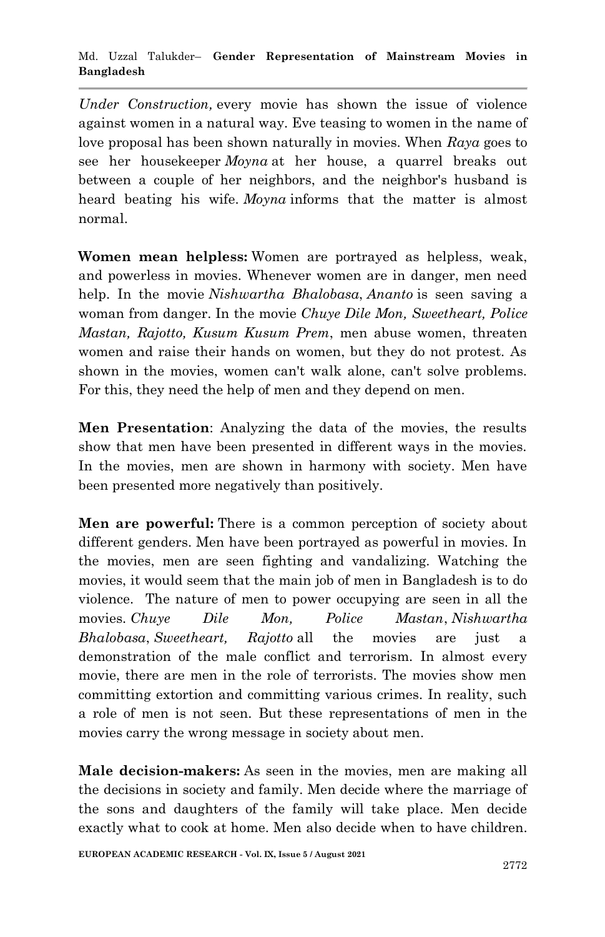*Under Construction,* every movie has shown the issue of violence against women in a natural way. Eve teasing to women in the name of love proposal has been shown naturally in movies. When *Raya* goes to see her housekeeper *Moyna* at her house, a quarrel breaks out between a couple of her neighbors, and the neighbor's husband is heard beating his wife. *Moyna* informs that the matter is almost normal.

**Women mean helpless:** Women are portrayed as helpless, weak, and powerless in movies. Whenever women are in danger, men need help. In the movie *Nishwartha Bhalobasa*, *Ananto* is seen saving a woman from danger. In the movie *Chuye Dile Mon, Sweetheart, Police Mastan, Rajotto, Kusum Kusum Prem*, men abuse women, threaten women and raise their hands on women, but they do not protest. As shown in the movies, women can't walk alone, can't solve problems. For this, they need the help of men and they depend on men.

**Men Presentation**: Analyzing the data of the movies, the results show that men have been presented in different ways in the movies. In the movies, men are shown in harmony with society. Men have been presented more negatively than positively.

**Men are powerful:** There is a common perception of society about different genders. Men have been portrayed as powerful in movies. In the movies, men are seen fighting and vandalizing. Watching the movies, it would seem that the main job of men in Bangladesh is to do violence. The nature of men to power occupying are seen in all the movies. *Chuye Dile Mon, Police Mastan*, *Nishwartha Bhalobasa*, *Sweetheart, Rajotto* all the movies are just a demonstration of the male conflict and terrorism. In almost every movie, there are men in the role of terrorists. The movies show men committing extortion and committing various crimes. In reality, such a role of men is not seen. But these representations of men in the movies carry the wrong message in society about men.

**Male decision-makers:** As seen in the movies, men are making all the decisions in society and family. Men decide where the marriage of the sons and daughters of the family will take place. Men decide exactly what to cook at home. Men also decide when to have children.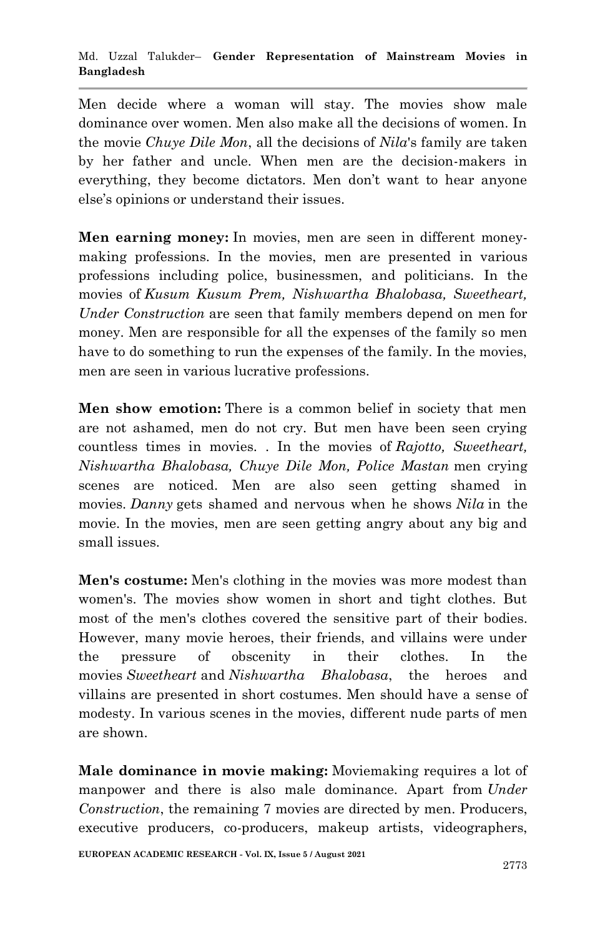Men decide where a woman will stay. The movies show male dominance over women. Men also make all the decisions of women. In the movie *Chuye Dile Mon*, all the decisions of *Nila*'s family are taken by her father and uncle. When men are the decision-makers in everything, they become dictators. Men don't want to hear anyone else's opinions or understand their issues.

**Men earning money:** In movies, men are seen in different moneymaking professions. In the movies, men are presented in various professions including police, businessmen, and politicians. In the movies of *Kusum Kusum Prem, Nishwartha Bhalobasa, Sweetheart, Under Construction* are seen that family members depend on men for money. Men are responsible for all the expenses of the family so men have to do something to run the expenses of the family. In the movies, men are seen in various lucrative professions.

**Men show emotion:** There is a common belief in society that men are not ashamed, men do not cry. But men have been seen crying countless times in movies. . In the movies of *Rajotto, Sweetheart, Nishwartha Bhalobasa, Chuye Dile Mon, Police Mastan* men crying scenes are noticed. Men are also seen getting shamed in movies. *Danny* gets shamed and nervous when he shows *Nila* in the movie. In the movies, men are seen getting angry about any big and small issues.

**Men's costume:** Men's clothing in the movies was more modest than women's. The movies show women in short and tight clothes. But most of the men's clothes covered the sensitive part of their bodies. However, many movie heroes, their friends, and villains were under the pressure of obscenity in their clothes. In the movies *Sweetheart* and *Nishwartha Bhalobasa*, the heroes and villains are presented in short costumes. Men should have a sense of modesty. In various scenes in the movies, different nude parts of men are shown.

**Male dominance in movie making:** Moviemaking requires a lot of manpower and there is also male dominance. Apart from *Under Construction*, the remaining 7 movies are directed by men. Producers, executive producers, co-producers, makeup artists, videographers,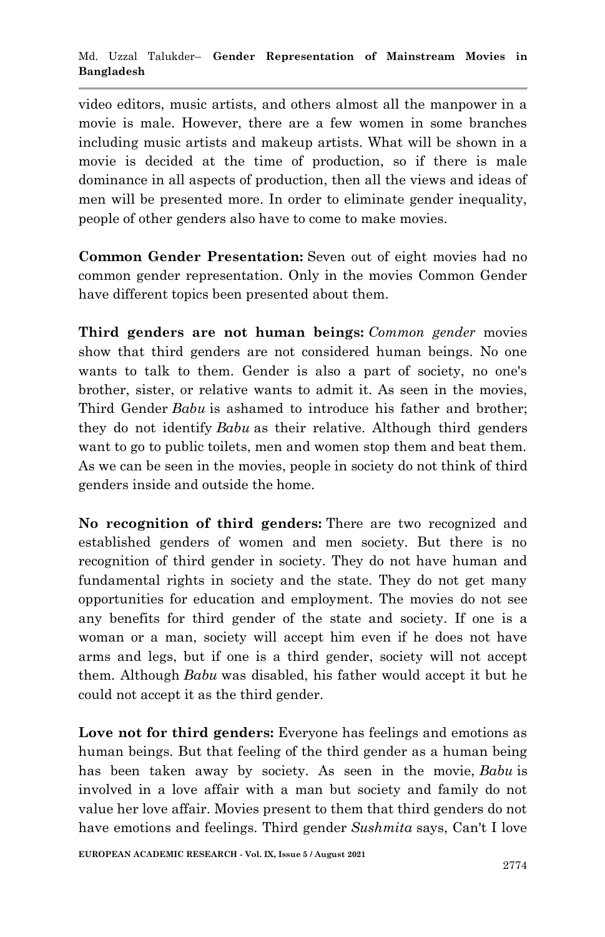video editors, music artists, and others almost all the manpower in a movie is male. However, there are a few women in some branches including music artists and makeup artists. What will be shown in a movie is decided at the time of production, so if there is male dominance in all aspects of production, then all the views and ideas of men will be presented more. In order to eliminate gender inequality, people of other genders also have to come to make movies.

**Common Gender Presentation:** Seven out of eight movies had no common gender representation. Only in the movies Common Gender have different topics been presented about them.

**Third genders are not human beings:** *Common gender* movies show that third genders are not considered human beings. No one wants to talk to them. Gender is also a part of society, no one's brother, sister, or relative wants to admit it. As seen in the movies, Third Gender *Babu* is ashamed to introduce his father and brother; they do not identify *Babu* as their relative. Although third genders want to go to public toilets, men and women stop them and beat them. As we can be seen in the movies, people in society do not think of third genders inside and outside the home.

**No recognition of third genders:** There are two recognized and established genders of women and men society. But there is no recognition of third gender in society. They do not have human and fundamental rights in society and the state. They do not get many opportunities for education and employment. The movies do not see any benefits for third gender of the state and society. If one is a woman or a man, society will accept him even if he does not have arms and legs, but if one is a third gender, society will not accept them. Although *Babu* was disabled, his father would accept it but he could not accept it as the third gender.

**Love not for third genders:** Everyone has feelings and emotions as human beings. But that feeling of the third gender as a human being has been taken away by society. As seen in the movie, *Babu* is involved in a love affair with a man but society and family do not value her love affair. Movies present to them that third genders do not have emotions and feelings. Third gender *Sushmita* says, Can't I love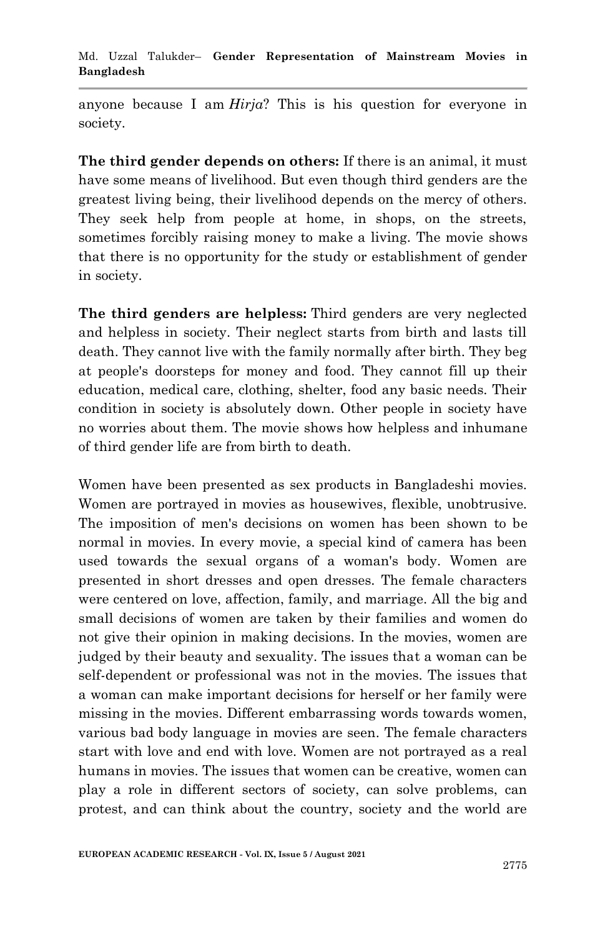anyone because I am *Hirja*? This is his question for everyone in society.

**The third gender depends on others:** If there is an animal, it must have some means of livelihood. But even though third genders are the greatest living being, their livelihood depends on the mercy of others. They seek help from people at home, in shops, on the streets, sometimes forcibly raising money to make a living. The movie shows that there is no opportunity for the study or establishment of gender in society.

**The third genders are helpless:** Third genders are very neglected and helpless in society. Their neglect starts from birth and lasts till death. They cannot live with the family normally after birth. They beg at people's doorsteps for money and food. They cannot fill up their education, medical care, clothing, shelter, food any basic needs. Their condition in society is absolutely down. Other people in society have no worries about them. The movie shows how helpless and inhumane of third gender life are from birth to death.

Women have been presented as sex products in Bangladeshi movies. Women are portrayed in movies as housewives, flexible, unobtrusive. The imposition of men's decisions on women has been shown to be normal in movies. In every movie, a special kind of camera has been used towards the sexual organs of a woman's body. Women are presented in short dresses and open dresses. The female characters were centered on love, affection, family, and marriage. All the big and small decisions of women are taken by their families and women do not give their opinion in making decisions. In the movies, women are judged by their beauty and sexuality. The issues that a woman can be self-dependent or professional was not in the movies. The issues that a woman can make important decisions for herself or her family were missing in the movies. Different embarrassing words towards women, various bad body language in movies are seen. The female characters start with love and end with love. Women are not portrayed as a real humans in movies. The issues that women can be creative, women can play a role in different sectors of society, can solve problems, can protest, and can think about the country, society and the world are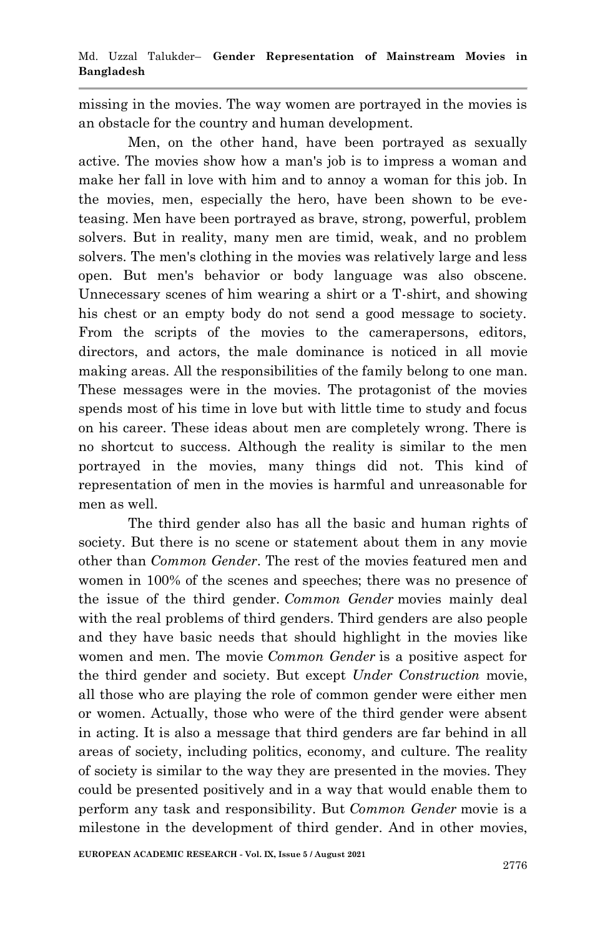missing in the movies. The way women are portrayed in the movies is an obstacle for the country and human development.

Men, on the other hand, have been portrayed as sexually active. The movies show how a man's job is to impress a woman and make her fall in love with him and to annoy a woman for this job. In the movies, men, especially the hero, have been shown to be eveteasing. Men have been portrayed as brave, strong, powerful, problem solvers. But in reality, many men are timid, weak, and no problem solvers. The men's clothing in the movies was relatively large and less open. But men's behavior or body language was also obscene. Unnecessary scenes of him wearing a shirt or a T-shirt, and showing his chest or an empty body do not send a good message to society. From the scripts of the movies to the camerapersons, editors, directors, and actors, the male dominance is noticed in all movie making areas. All the responsibilities of the family belong to one man. These messages were in the movies. The protagonist of the movies spends most of his time in love but with little time to study and focus on his career. These ideas about men are completely wrong. There is no shortcut to success. Although the reality is similar to the men portrayed in the movies, many things did not. This kind of representation of men in the movies is harmful and unreasonable for men as well.

The third gender also has all the basic and human rights of society. But there is no scene or statement about them in any movie other than *Common Gender*. The rest of the movies featured men and women in 100% of the scenes and speeches; there was no presence of the issue of the third gender. *Common Gender* movies mainly deal with the real problems of third genders. Third genders are also people and they have basic needs that should highlight in the movies like women and men. The movie *Common Gender* is a positive aspect for the third gender and society. But except *Under Construction* movie, all those who are playing the role of common gender were either men or women. Actually, those who were of the third gender were absent in acting. It is also a message that third genders are far behind in all areas of society, including politics, economy, and culture. The reality of society is similar to the way they are presented in the movies. They could be presented positively and in a way that would enable them to perform any task and responsibility. But *Common Gender* movie is a milestone in the development of third gender. And in other movies,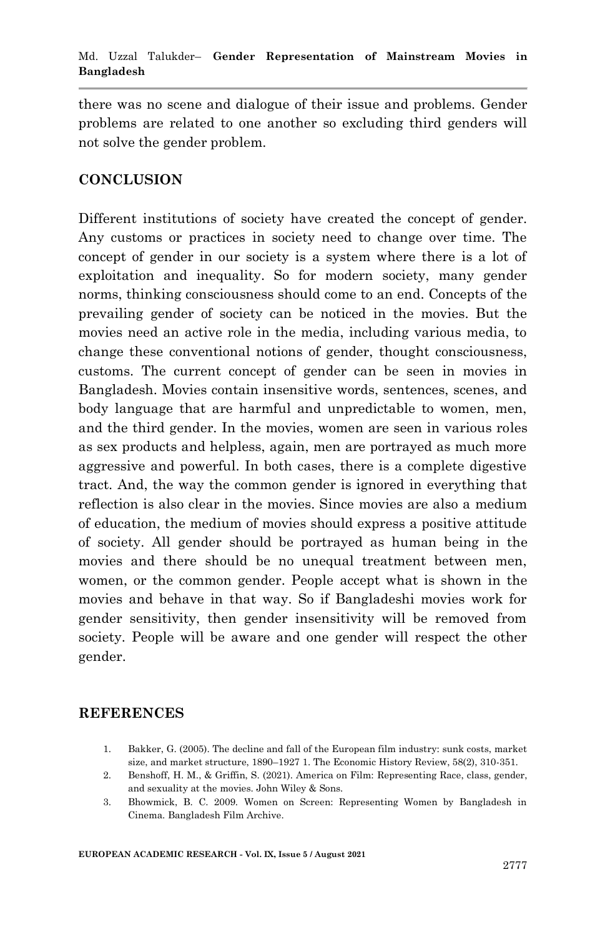there was no scene and dialogue of their issue and problems. Gender problems are related to one another so excluding third genders will not solve the gender problem.

#### **CONCLUSION**

Different institutions of society have created the concept of gender. Any customs or practices in society need to change over time. The concept of gender in our society is a system where there is a lot of exploitation and inequality. So for modern society, many gender norms, thinking consciousness should come to an end. Concepts of the prevailing gender of society can be noticed in the movies. But the movies need an active role in the media, including various media, to change these conventional notions of gender, thought consciousness, customs. The current concept of gender can be seen in movies in Bangladesh. Movies contain insensitive words, sentences, scenes, and body language that are harmful and unpredictable to women, men, and the third gender. In the movies, women are seen in various roles as sex products and helpless, again, men are portrayed as much more aggressive and powerful. In both cases, there is a complete digestive tract. And, the way the common gender is ignored in everything that reflection is also clear in the movies. Since movies are also a medium of education, the medium of movies should express a positive attitude of society. All gender should be portrayed as human being in the movies and there should be no unequal treatment between men, women, or the common gender. People accept what is shown in the movies and behave in that way. So if Bangladeshi movies work for gender sensitivity, then gender insensitivity will be removed from society. People will be aware and one gender will respect the other gender.

#### **REFERENCES**

- 1. Bakker, G. (2005). The decline and fall of the European film industry: sunk costs, market size, and market structure, 1890–1927 1. The Economic History Review, 58(2), 310-351.
- 2. Benshoff, H. M., & Griffin, S. (2021). America on Film: Representing Race, class, gender, and sexuality at the movies. John Wiley & Sons.
- 3. Bhowmick, B. C. 2009. Women on Screen: Representing Women by Bangladesh in Cinema. Bangladesh Film Archive.